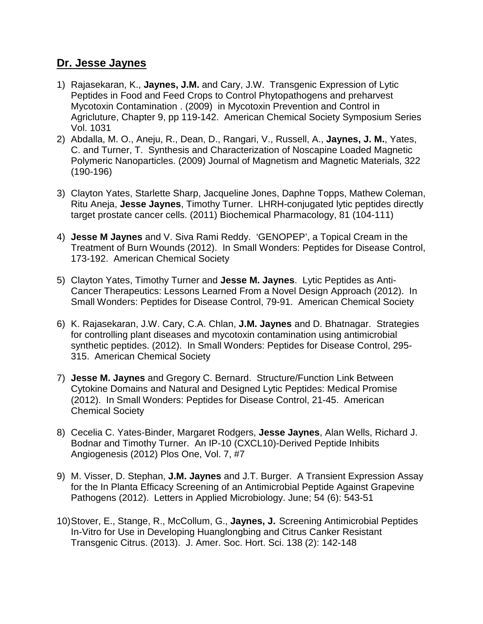## **Dr. Jesse Jaynes**

- 1) Rajasekaran, K., **Jaynes, J.M.** and Cary, J.W. Transgenic Expression of Lytic Peptides in Food and Feed Crops to Control Phytopathogens and preharvest Mycotoxin Contamination . (2009) in Mycotoxin Prevention and Control in Agricluture, Chapter 9, pp 119-142. American Chemical Society Symposium Series Vol. 1031
- 2) Abdalla, M. O., Aneju, R., Dean, D., Rangari, V., Russell, A., **Jaynes, J. M.**, Yates, C. and Turner, T. Synthesis and Characterization of Noscapine Loaded Magnetic Polymeric Nanoparticles. (2009) Journal of Magnetism and Magnetic Materials, 322 (190-196)
- 3) Clayton Yates, Starlette Sharp, Jacqueline Jones, Daphne Topps, Mathew Coleman, Ritu Aneja, **Jesse Jaynes**, Timothy Turner. LHRH-conjugated lytic peptides directly target prostate cancer cells. (2011) Biochemical Pharmacology, 81 (104-111)
- 4) **Jesse M Jaynes** and V. Siva Rami Reddy. 'GENOPEP', a Topical Cream in the Treatment of Burn Wounds (2012). In Small Wonders: Peptides for Disease Control, 173-192. American Chemical Society
- 5) Clayton Yates, Timothy Turner and **Jesse M. Jaynes**. Lytic Peptides as Anti-Cancer Therapeutics: Lessons Learned From a Novel Design Approach (2012). In Small Wonders: Peptides for Disease Control, 79-91. American Chemical Society
- 6) K. Rajasekaran, J.W. Cary, C.A. Chlan, **J.M. Jaynes** and D. Bhatnagar. Strategies for controlling plant diseases and mycotoxin contamination using antimicrobial synthetic peptides. (2012). In Small Wonders: Peptides for Disease Control, 295- 315. American Chemical Society
- 7) **Jesse M. Jaynes** and Gregory C. Bernard. Structure/Function Link Between Cytokine Domains and Natural and Designed Lytic Peptides: Medical Promise (2012). In Small Wonders: Peptides for Disease Control, 21-45. American Chemical Society
- 8) Cecelia C. Yates-Binder, Margaret Rodgers, **Jesse Jaynes**, Alan Wells, Richard J. Bodnar and Timothy Turner. An IP-10 (CXCL10)-Derived Peptide Inhibits Angiogenesis (2012) Plos One, Vol. 7, #7
- 9) M. Visser, D. Stephan, **J.M. Jaynes** and J.T. Burger. A Transient Expression Assay for the In Planta Efficacy Screening of an Antimicrobial Peptide Against Grapevine Pathogens (2012). Letters in Applied Microbiology. June; 54 (6): 543-51
- 10)Stover, E., Stange, R., McCollum, G., **Jaynes, J.** Screening Antimicrobial Peptides In-Vitro for Use in Developing Huanglongbing and Citrus Canker Resistant Transgenic Citrus. (2013). J. Amer. Soc. Hort. Sci. 138 (2): 142-148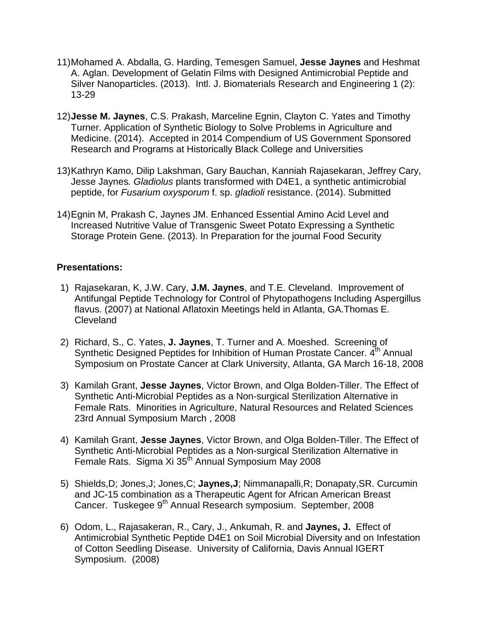- 11)Mohamed A. Abdalla, G. Harding, Temesgen Samuel, **Jesse Jaynes** and Heshmat A. Aglan. Development of Gelatin Films with Designed Antimicrobial Peptide and Silver Nanoparticles. (2013). Intl. J. Biomaterials Research and Engineering 1 (2): 13-29
- 12)**Jesse M. Jaynes**, C.S. Prakash, Marceline Egnin, Clayton C. Yates and Timothy Turner. Application of Synthetic Biology to Solve Problems in Agriculture and Medicine. (2014). Accepted in 2014 Compendium of US Government Sponsored Research and Programs at Historically Black College and Universities
- 13)Kathryn Kamo, Dilip Lakshman, Gary Bauchan, Kanniah Rajasekaran, Jeffrey Cary, Jesse Jaynes*. Gladiolus* plants transformed with D4E1, a synthetic antimicrobial peptide, for *Fusarium oxysporum* f. sp. *gladioli* resistance. (2014). Submitted
- 14)Egnin M, Prakash C, Jaynes JM. Enhanced Essential Amino Acid Level and Increased Nutritive Value of Transgenic Sweet Potato Expressing a Synthetic Storage Protein Gene. (2013). In Preparation for the journal Food Security

## **Presentations:**

- 1) Rajasekaran, K, J.W. Cary, **J.M. Jaynes**, and T.E. Cleveland. Improvement of Antifungal Peptide Technology for Control of Phytopathogens Including Aspergillus flavus. (2007) at National Aflatoxin Meetings held in Atlanta, GA.Thomas E. **Cleveland**
- 2) Richard, S., C. Yates, **J. Jaynes**, T. Turner and A. Moeshed. Screening of Synthetic Designed Peptides for Inhibition of Human Prostate Cancer, 4<sup>th</sup> Annual Symposium on Prostate Cancer at Clark University, Atlanta, GA March 16-18, 2008
- 3) Kamilah Grant, **Jesse Jaynes**, Victor Brown, and Olga Bolden-Tiller. The Effect of Synthetic Anti-Microbial Peptides as a Non-surgical Sterilization Alternative in Female Rats. Minorities in Agriculture, Natural Resources and Related Sciences 23rd Annual Symposium March , 2008
- 4) Kamilah Grant, **Jesse Jaynes**, Victor Brown, and Olga Bolden-Tiller. The Effect of Synthetic Anti-Microbial Peptides as a Non-surgical Sterilization Alternative in Female Rats. Sigma Xi 35<sup>th</sup> Annual Symposium May 2008
- 5) Shields,D; Jones,J; Jones,C; **Jaynes,J**; Nimmanapalli,R; Donapaty,SR. Curcumin and JC-15 combination as a Therapeutic Agent for African American Breast Cancer. Tuskegee 9<sup>th</sup> Annual Research symposium. September, 2008
- 6) Odom, L., Rajasakeran, R., Cary, J., Ankumah, R. and **Jaynes, J.** Effect of Antimicrobial Synthetic Peptide D4E1 on Soil Microbial Diversity and on Infestation of Cotton Seedling Disease. University of California, Davis Annual IGERT Symposium. (2008)